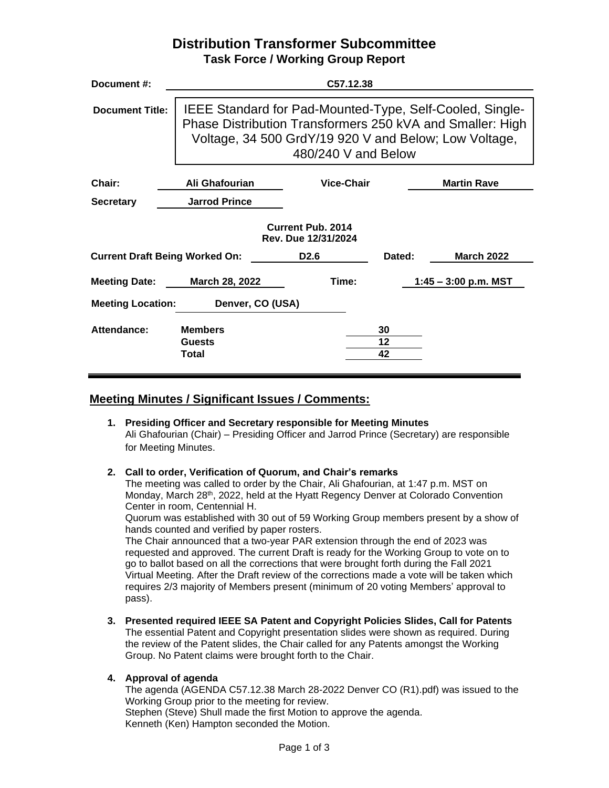## **Distribution Transformer Subcommittee Task Force / Working Group Report**

| Document #:                                     |                                          | C57.12.38                                                                                                                                                                                             |                |                        |  |  |
|-------------------------------------------------|------------------------------------------|-------------------------------------------------------------------------------------------------------------------------------------------------------------------------------------------------------|----------------|------------------------|--|--|
| <b>Document Title:</b>                          |                                          | IEEE Standard for Pad-Mounted-Type, Self-Cooled, Single-<br>Phase Distribution Transformers 250 kVA and Smaller: High<br>Voltage, 34 500 GrdY/19 920 V and Below; Low Voltage,<br>480/240 V and Below |                |                        |  |  |
| Chair:                                          | Ali Ghafourian                           | <b>Vice-Chair</b>                                                                                                                                                                                     |                | <b>Martin Rave</b>     |  |  |
| <b>Secretary</b>                                | <b>Jarrod Prince</b>                     |                                                                                                                                                                                                       |                |                        |  |  |
| <b>Current Pub. 2014</b><br>Rev. Due 12/31/2024 |                                          |                                                                                                                                                                                                       |                |                        |  |  |
| <b>Current Draft Being Worked On:</b>           |                                          | D <sub>2.6</sub>                                                                                                                                                                                      | Dated:         | <b>March 2022</b>      |  |  |
| Meeting Date: March 28, 2022                    |                                          | Time:                                                                                                                                                                                                 |                | $1:45 - 3:00$ p.m. MST |  |  |
| <b>Meeting Location:</b><br>Denver, CO (USA)    |                                          |                                                                                                                                                                                                       |                |                        |  |  |
| Attendance:                                     | <b>Members</b><br><b>Guests</b><br>Total |                                                                                                                                                                                                       | 30<br>12<br>42 |                        |  |  |

## **Meeting Minutes / Significant Issues / Comments:**

**1. Presiding Officer and Secretary responsible for Meeting Minutes** Ali Ghafourian (Chair) – Presiding Officer and Jarrod Prince (Secretary) are responsible for Meeting Minutes.

## **2. Call to order, Verification of Quorum, and Chair's remarks**

The meeting was called to order by the Chair, Ali Ghafourian, at 1:47 p.m. MST on Monday, March 28th, 2022, held at the Hyatt Regency Denver at Colorado Convention Center in room, Centennial H.

Quorum was established with 30 out of 59 Working Group members present by a show of hands counted and verified by paper rosters.

The Chair announced that a two-year PAR extension through the end of 2023 was requested and approved. The current Draft is ready for the Working Group to vote on to go to ballot based on all the corrections that were brought forth during the Fall 2021 Virtual Meeting. After the Draft review of the corrections made a vote will be taken which requires 2/3 majority of Members present (minimum of 20 voting Members' approval to pass).

**3. Presented required IEEE SA Patent and Copyright Policies Slides, Call for Patents** The essential Patent and Copyright presentation slides were shown as required. During the review of the Patent slides, the Chair called for any Patents amongst the Working Group. No Patent claims were brought forth to the Chair.

## **4. Approval of agenda**

The agenda (AGENDA C57.12.38 March 28-2022 Denver CO (R1).pdf) was issued to the Working Group prior to the meeting for review. Stephen (Steve) Shull made the first Motion to approve the agenda. Kenneth (Ken) Hampton seconded the Motion.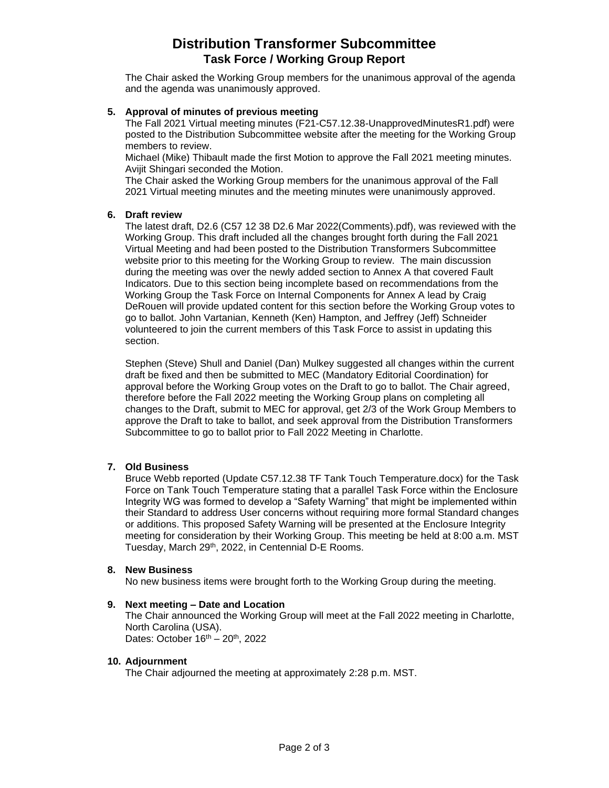# **Distribution Transformer Subcommittee Task Force / Working Group Report**

The Chair asked the Working Group members for the unanimous approval of the agenda and the agenda was unanimously approved.

## **5. Approval of minutes of previous meeting**

The Fall 2021 Virtual meeting minutes (F21-C57.12.38-UnapprovedMinutesR1.pdf) were posted to the Distribution Subcommittee website after the meeting for the Working Group members to review.

Michael (Mike) Thibault made the first Motion to approve the Fall 2021 meeting minutes. Avijit Shingari seconded the Motion.

The Chair asked the Working Group members for the unanimous approval of the Fall 2021 Virtual meeting minutes and the meeting minutes were unanimously approved.

### **6. Draft review**

The latest draft, D2.6 (C57 12 38 D2.6 Mar 2022(Comments).pdf), was reviewed with the Working Group. This draft included all the changes brought forth during the Fall 2021 Virtual Meeting and had been posted to the Distribution Transformers Subcommittee website prior to this meeting for the Working Group to review. The main discussion during the meeting was over the newly added section to Annex A that covered Fault Indicators. Due to this section being incomplete based on recommendations from the Working Group the Task Force on Internal Components for Annex A lead by Craig DeRouen will provide updated content for this section before the Working Group votes to go to ballot. John Vartanian, Kenneth (Ken) Hampton, and Jeffrey (Jeff) Schneider volunteered to join the current members of this Task Force to assist in updating this section.

Stephen (Steve) Shull and Daniel (Dan) Mulkey suggested all changes within the current draft be fixed and then be submitted to MEC (Mandatory Editorial Coordination) for approval before the Working Group votes on the Draft to go to ballot. The Chair agreed, therefore before the Fall 2022 meeting the Working Group plans on completing all changes to the Draft, submit to MEC for approval, get 2/3 of the Work Group Members to approve the Draft to take to ballot, and seek approval from the Distribution Transformers Subcommittee to go to ballot prior to Fall 2022 Meeting in Charlotte.

## **7. Old Business**

Bruce Webb reported (Update C57.12.38 TF Tank Touch Temperature.docx) for the Task Force on Tank Touch Temperature stating that a parallel Task Force within the Enclosure Integrity WG was formed to develop a "Safety Warning" that might be implemented within their Standard to address User concerns without requiring more formal Standard changes or additions. This proposed Safety Warning will be presented at the Enclosure Integrity meeting for consideration by their Working Group. This meeting be held at 8:00 a.m. MST Tuesday, March 29th, 2022, in Centennial D-E Rooms.

### **8. New Business**

No new business items were brought forth to the Working Group during the meeting.

### **9. Next meeting – Date and Location**

The Chair announced the Working Group will meet at the Fall 2022 meeting in Charlotte, North Carolina (USA). Dates: October  $16<sup>th</sup> - 20<sup>th</sup>$ , 2022

### **10. Adjournment**

The Chair adjourned the meeting at approximately 2:28 p.m. MST.